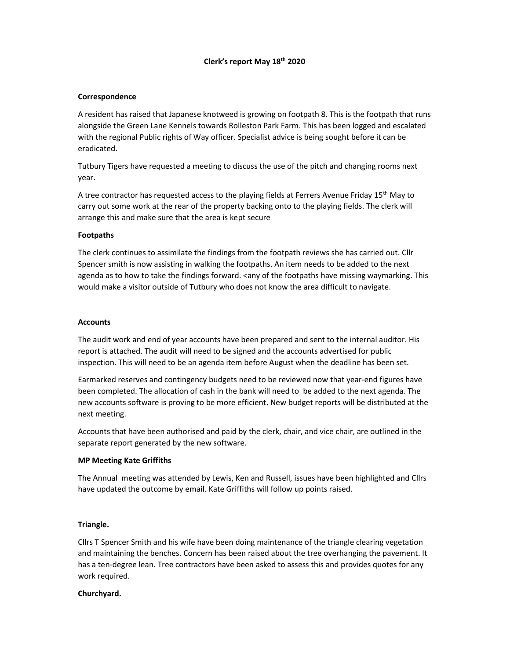# Clerk's report May 18th 2020

## Correspondence

A resident has raised that Japanese knotweed is growing on footpath 8. This is the footpath that runs alongside the Green Lane Kennels towards Rolleston Park Farm. This has been logged and escalated with the regional Public rights of Way officer. Specialist advice is being sought before it can be eradicated.

Tutbury Tigers have requested a meeting to discuss the use of the pitch and changing rooms next year.

A tree contractor has requested access to the playing fields at Ferrers Avenue Friday 15<sup>th</sup> May to carry out some work at the rear of the property backing onto to the playing fields. The clerk will arrange this and make sure that the area is kept secure

## **Footpaths**

The clerk continues to assimilate the findings from the footpath reviews she has carried out. Cllr Spencer smith is now assisting in walking the footpaths. An item needs to be added to the next agenda as to how to take the findings forward. <any of the footpaths have missing waymarking. This would make a visitor outside of Tutbury who does not know the area difficult to navigate.

## **Accounts**

The audit work and end of year accounts have been prepared and sent to the internal auditor. His report is attached. The audit will need to be signed and the accounts advertised for public inspection. This will need to be an agenda item before August when the deadline has been set.

Earmarked reserves and contingency budgets need to be reviewed now that year-end figures have been completed. The allocation of cash in the bank will need to be added to the next agenda. The new accounts software is proving to be more efficient. New budget reports will be distributed at the next meeting.

Accounts that have been authorised and paid by the clerk, chair, and vice chair, are outlined in the separate report generated by the new software.

# MP Meeting Kate Griffiths

The Annual meeting was attended by Lewis, Ken and Russell, issues have been highlighted and Cllrs have updated the outcome by email. Kate Griffiths will follow up points raised.

### Triangle.

Cllrs T Spencer Smith and his wife have been doing maintenance of the triangle clearing vegetation and maintaining the benches. Concern has been raised about the tree overhanging the pavement. It has a ten-degree lean. Tree contractors have been asked to assess this and provides quotes for any work required.

### Churchyard.